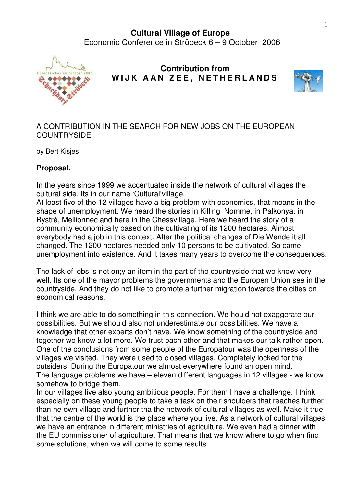## **Cultural Village of Europe**  Economic Conference in Ströbeck 6 – 9 October 2006



## **Contribution from**  WIJK AAN ZEE, NETHERLANDS



## A CONTRIBUTION IN THE SEARCH FOR NEW JOBS ON THE EUROPEAN **COUNTRYSIDE**

by Bert Kisjes

## **Proposal.**

In the years since 1999 we accentuated inside the network of cultural villages the cultural side. Its in our name 'Cultural'village.

At least five of the 12 villages have a big problem with economics, that means in the shape of unemployment. We heard the stories in Killingi Nomme, in Palkonya, in Bystré, Mellionnec and here in the Chessvillage. Here we heard the story of a community economically based on the cultivating of its 1200 hectares. Almost everybody had a job in this context. After the political changes of Die Wende it all changed. The 1200 hectares needed only 10 persons to be cultivated. So came unemployment into existence. And it takes many years to overcome the consequences.

The lack of jobs is not on;y an item in the part of the countryside that we know very well. Its one of the mayor problems the governments and the Europen Union see in the countryside. And they do not like to promote a further migration towards the cities on economical reasons.

I think we are able to do something in this connection. We hould not exaggerate our possibilities. But we should also not underestimate our possibilities. We have a knowledge that other experts don't have. We know something of the countryside and together we know a lot more. We trust each other and that makes our talk rather open. One of the conclusions from some people of the Europatour was the openness of the villages we visited. They were used to closed villages. Completely locked for the outsiders. During the Europatour we almost everywhere found an open mind. The language problems we have – eleven different languages in 12 villages - we know somehow to bridge them.

In our villages live also young ambitious people. For them I have a challenge. I think especially on these young people to take a task on their shoulders that reaches further than he own village and further tha the network of cultural villages as well. Make it true that the centre of the world is the place where you live. As a network of cultural villages we have an entrance in different ministries of agriculture. We even had a dinner with the EU commissioner of agriculture. That means that we know where to go when find some solutions, when we will come to some results.